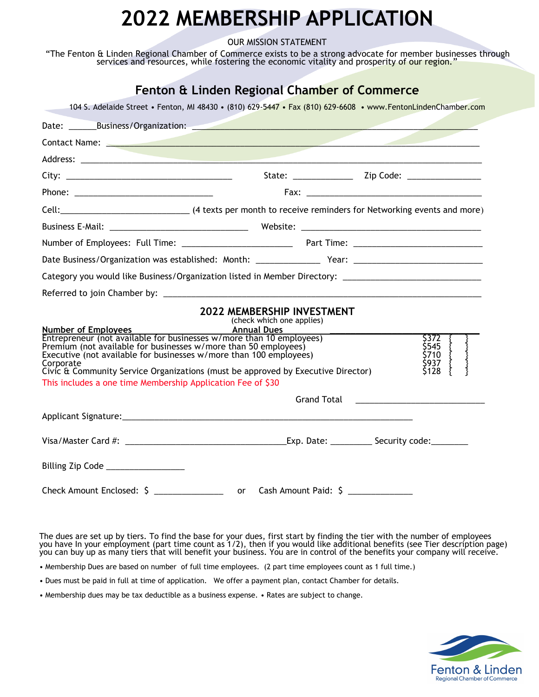## **2022 MEMBERSHIP APPLICATION**

OUR MISSION STATEMENT

"The Fenton & Linden Regional Chamber of Commerce exists to be a strong advocate for member businesses through services and resources, while fostering the economic vitality and prosperity of our region."

| Fenton & Linden Regional Chamber of Commerce                                                                                                                                                                                   |                           |  |               |  |
|--------------------------------------------------------------------------------------------------------------------------------------------------------------------------------------------------------------------------------|---------------------------|--|---------------|--|
| 104 S. Adelaide Street • Fenton, MI 48430 • (810) 629-5447 • Fax (810) 629-6608 • www.FentonLindenChamber.com                                                                                                                  |                           |  |               |  |
|                                                                                                                                                                                                                                |                           |  |               |  |
| Contact Name: Name and the contract of the contract of the contract of the contract of the contract of the contract of the contract of the contract of the contract of the contract of the contract of the contract of the con |                           |  |               |  |
|                                                                                                                                                                                                                                |                           |  |               |  |
|                                                                                                                                                                                                                                |                           |  |               |  |
|                                                                                                                                                                                                                                |                           |  |               |  |
|                                                                                                                                                                                                                                |                           |  |               |  |
|                                                                                                                                                                                                                                |                           |  |               |  |
|                                                                                                                                                                                                                                |                           |  |               |  |
|                                                                                                                                                                                                                                |                           |  |               |  |
|                                                                                                                                                                                                                                |                           |  |               |  |
|                                                                                                                                                                                                                                |                           |  |               |  |
| <b>2022 MEMBERSHIP INVESTMENT</b>                                                                                                                                                                                              | (check which one applies) |  |               |  |
| Number of Employees<br>Entrepreneur (not available for businesses w/more than 10 employees)                                                                                                                                    |                           |  | S372 -        |  |
| Premium (not available for businesses w/more than 50 employees)                                                                                                                                                                |                           |  | \$545         |  |
| Executive (not available for businesses w/more than 100 employees)<br>Corporate                                                                                                                                                |                           |  | \$710<br>S937 |  |
| Civic & Community Service Organizations (must be approved by Executive Director)                                                                                                                                               |                           |  | \$128         |  |
| This includes a one time Membership Application Fee of \$30                                                                                                                                                                    |                           |  |               |  |
|                                                                                                                                                                                                                                |                           |  |               |  |
|                                                                                                                                                                                                                                |                           |  |               |  |
|                                                                                                                                                                                                                                |                           |  |               |  |
| Billing Zip Code ________________                                                                                                                                                                                              |                           |  |               |  |
| Check Amount Enclosed: \$ _____________________ or Cash Amount Paid: \$ __________                                                                                                                                             |                           |  |               |  |

The dues are set up by tiers. To find the base for your dues, first start by finding the tier with the number of employees you have In your employment (part time count as 1/2), then if you would like additional benefits (see Tier description page) you can buy up as many tiers that will benefit your business. You are in control of the benefits your company will receive.

• Membership Dues are based on number of full time employees. (2 part time employees count as 1 full time.)

• Dues must be paid in full at time of application. We offer a payment plan, contact Chamber for details.

• Membership dues may be tax deductible as a business expense. • Rates are subject to change.